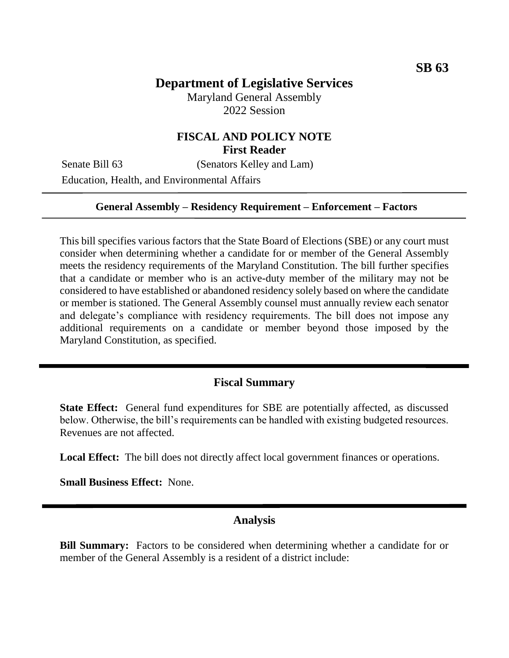# **Department of Legislative Services**

Maryland General Assembly 2022 Session

# **FISCAL AND POLICY NOTE First Reader**

Senate Bill 63 (Senators Kelley and Lam)

Education, Health, and Environmental Affairs

#### **General Assembly – Residency Requirement – Enforcement – Factors**

This bill specifies various factors that the State Board of Elections (SBE) or any court must consider when determining whether a candidate for or member of the General Assembly meets the residency requirements of the Maryland Constitution. The bill further specifies that a candidate or member who is an active-duty member of the military may not be considered to have established or abandoned residency solely based on where the candidate or member is stationed. The General Assembly counsel must annually review each senator and delegate's compliance with residency requirements. The bill does not impose any additional requirements on a candidate or member beyond those imposed by the Maryland Constitution, as specified.

#### **Fiscal Summary**

**State Effect:** General fund expenditures for SBE are potentially affected, as discussed below. Otherwise, the bill's requirements can be handled with existing budgeted resources. Revenues are not affected.

**Local Effect:** The bill does not directly affect local government finances or operations.

**Small Business Effect:** None.

#### **Analysis**

**Bill Summary:** Factors to be considered when determining whether a candidate for or member of the General Assembly is a resident of a district include: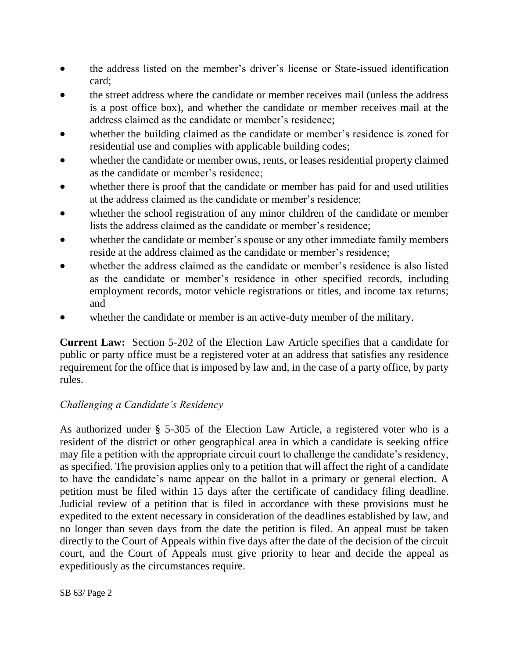- the address listed on the member's driver's license or State-issued identification card;
- the street address where the candidate or member receives mail (unless the address is a post office box), and whether the candidate or member receives mail at the address claimed as the candidate or member's residence;
- whether the building claimed as the candidate or member's residence is zoned for residential use and complies with applicable building codes;
- whether the candidate or member owns, rents, or leases residential property claimed as the candidate or member's residence;
- whether there is proof that the candidate or member has paid for and used utilities at the address claimed as the candidate or member's residence;
- whether the school registration of any minor children of the candidate or member lists the address claimed as the candidate or member's residence;
- whether the candidate or member's spouse or any other immediate family members reside at the address claimed as the candidate or member's residence;
- whether the address claimed as the candidate or member's residence is also listed as the candidate or member's residence in other specified records, including employment records, motor vehicle registrations or titles, and income tax returns; and
- whether the candidate or member is an active-duty member of the military.

**Current Law:** Section 5-202 of the Election Law Article specifies that a candidate for public or party office must be a registered voter at an address that satisfies any residence requirement for the office that is imposed by law and, in the case of a party office, by party rules.

### *Challenging a Candidate's Residency*

As authorized under § 5-305 of the Election Law Article, a registered voter who is a resident of the district or other geographical area in which a candidate is seeking office may file a petition with the appropriate circuit court to challenge the candidate's residency, as specified. The provision applies only to a petition that will affect the right of a candidate to have the candidate's name appear on the ballot in a primary or general election. A petition must be filed within 15 days after the certificate of candidacy filing deadline. Judicial review of a petition that is filed in accordance with these provisions must be expedited to the extent necessary in consideration of the deadlines established by law, and no longer than seven days from the date the petition is filed. An appeal must be taken directly to the Court of Appeals within five days after the date of the decision of the circuit court, and the Court of Appeals must give priority to hear and decide the appeal as expeditiously as the circumstances require.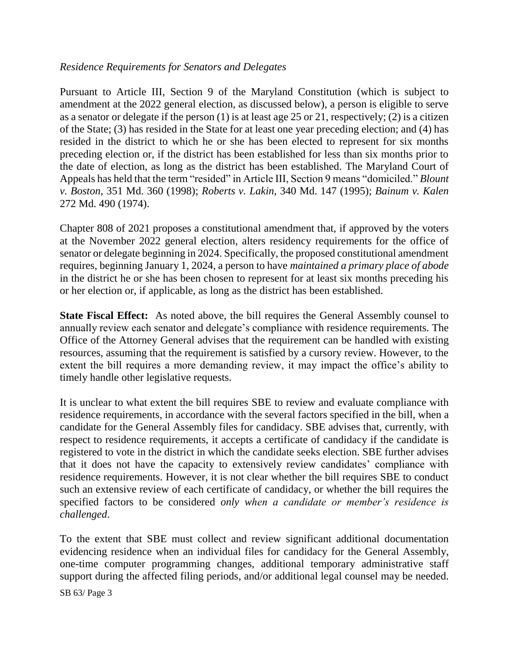### *Residence Requirements for Senators and Delegates*

Pursuant to Article III, Section 9 of the Maryland Constitution (which is subject to amendment at the 2022 general election, as discussed below), a person is eligible to serve as a senator or delegate if the person (1) is at least age 25 or 21, respectively; (2) is a citizen of the State; (3) has resided in the State for at least one year preceding election; and (4) has resided in the district to which he or she has been elected to represent for six months preceding election or, if the district has been established for less than six months prior to the date of election, as long as the district has been established. The Maryland Court of Appeals has held that the term "resided" in Article III, Section 9 means "domiciled." *Blount v. Boston*, 351 Md. 360 (1998); *Roberts v. Lakin*, 340 Md. 147 (1995); *Bainum v. Kalen*  272 Md. 490 (1974).

Chapter 808 of 2021 proposes a constitutional amendment that, if approved by the voters at the November 2022 general election, alters residency requirements for the office of senator or delegate beginning in 2024. Specifically, the proposed constitutional amendment requires, beginning January 1, 2024, a person to have *maintained a primary place of abode* in the district he or she has been chosen to represent for at least six months preceding his or her election or, if applicable, as long as the district has been established.

**State Fiscal Effect:** As noted above, the bill requires the General Assembly counsel to annually review each senator and delegate's compliance with residence requirements. The Office of the Attorney General advises that the requirement can be handled with existing resources, assuming that the requirement is satisfied by a cursory review. However, to the extent the bill requires a more demanding review, it may impact the office's ability to timely handle other legislative requests.

It is unclear to what extent the bill requires SBE to review and evaluate compliance with residence requirements, in accordance with the several factors specified in the bill, when a candidate for the General Assembly files for candidacy. SBE advises that, currently, with respect to residence requirements, it accepts a certificate of candidacy if the candidate is registered to vote in the district in which the candidate seeks election. SBE further advises that it does not have the capacity to extensively review candidates' compliance with residence requirements. However, it is not clear whether the bill requires SBE to conduct such an extensive review of each certificate of candidacy, or whether the bill requires the specified factors to be considered *only when a candidate or member's residence is challenged*.

To the extent that SBE must collect and review significant additional documentation evidencing residence when an individual files for candidacy for the General Assembly, one-time computer programming changes, additional temporary administrative staff support during the affected filing periods, and/or additional legal counsel may be needed.

SB 63/ Page 3